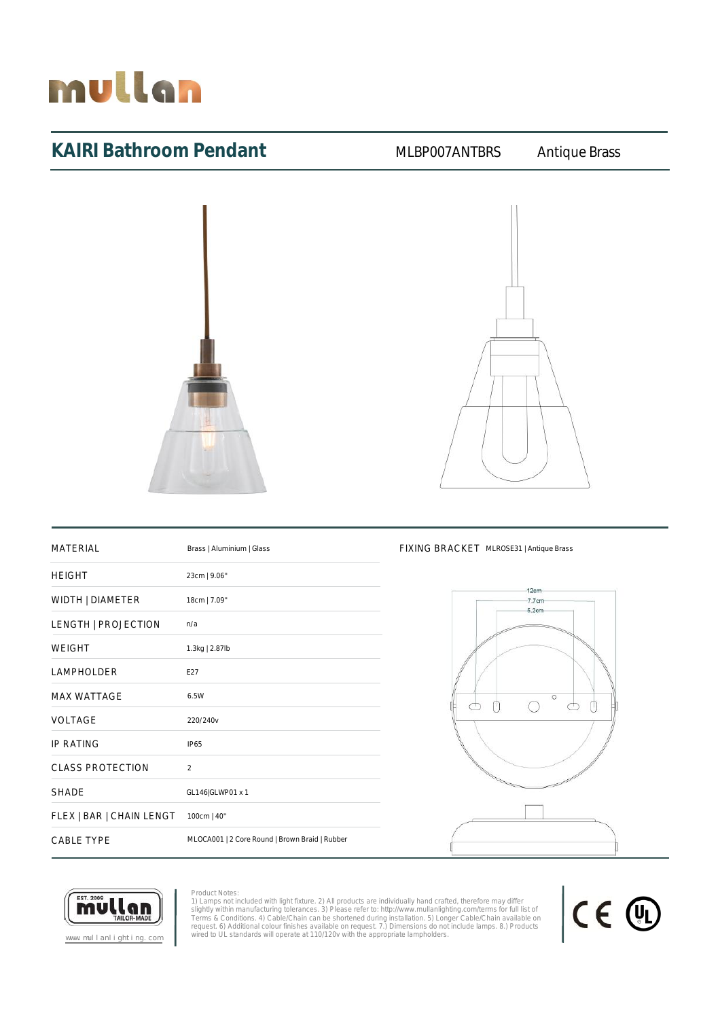

### KAIRI Bathroom Pendant MLBP007ANTBRS Antique Brass





## MATERIAL Brass | Aluminium | Glass FIXING BRACKET MLROSE31 | Antique Brass HEIGHT 23cm | 9.06'' WIDTH | DIAMETER 18cm | 7.09" LENGTH | PROJECTION n/a WEIGHT 1.3kg | 2.87lb LAMPHOLDER E27 MAX WATTAGE 6.5W VOLTAGE 220/240v IP RATING IP65 CLASS PROTECTION 2 SHADE GL146|GLWP01 x 1 FLEX | BAR | CHAIN LENGT 100cm | 40'' CABLE TYPE MLOCA001 | 2 Core Round | Brown Braid | Rubber





Product Notes: 1) Lamps not included with light fixture. 2) All products are individually hand crafted, therefore may differ<br>slightly within manufacturing tolerances. 3) Please refer to: http://www.mullanlighting.com/terms for full list

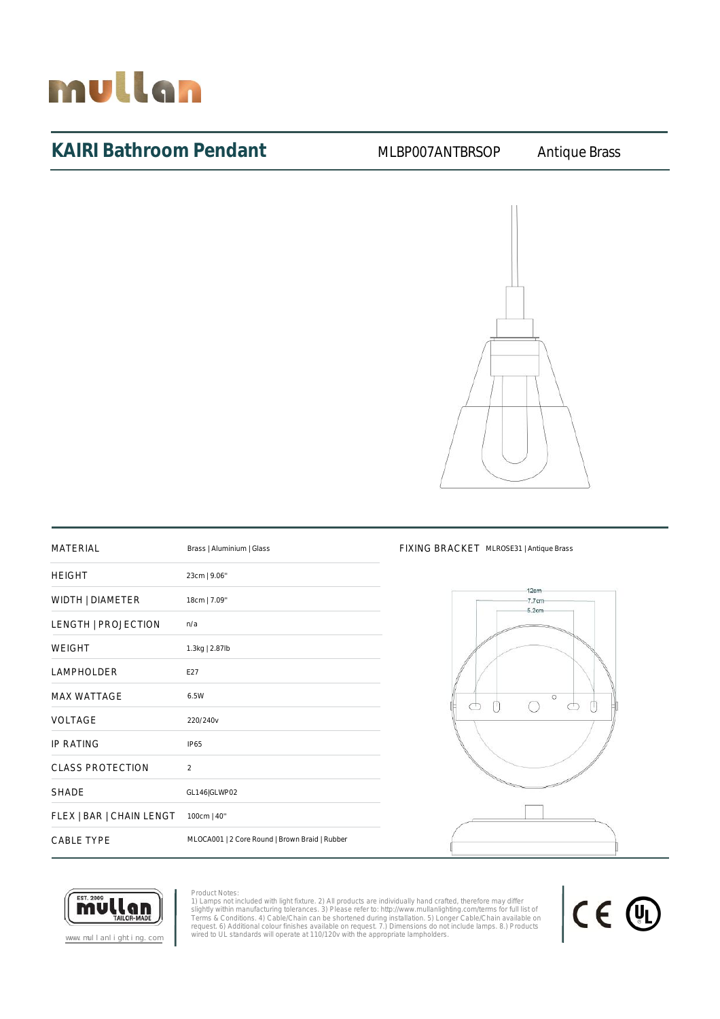

### KAIRI Bathroom Pendant MLBP007ANTBRSOP Antique Brass



| <b>MATERIAL</b>          | Brass   Aluminium   Glass                      |
|--------------------------|------------------------------------------------|
| <b>HEIGHT</b>            | 23cm   9.06"                                   |
| WIDTH   DIAMETER         | 18cm   7.09"                                   |
| LENGTH   PROJECTION      | n/a                                            |
| <b>WEIGHT</b>            | 1.3kg   2.87lb                                 |
| <b>LAMPHOLDER</b>        | E27                                            |
| <b>MAX WATTAGE</b>       | 6.5W                                           |
| VOLTAGE                  | 220/240v                                       |
| <b>IP RATING</b>         | <b>IP65</b>                                    |
| <b>CLASS PROTECTION</b>  | $\mathfrak{D}$                                 |
| <b>SHADE</b>             | GL146 GLWP02                                   |
| FLEX   BAR   CHAIN LENGT | 100cm   40"                                    |
| <b>CABLE TYPE</b>        | MLOCA001   2 Core Round   Brown Braid   Rubber |

### FIXING BRACKET MLROSE31 | Antique Brass



CE 4

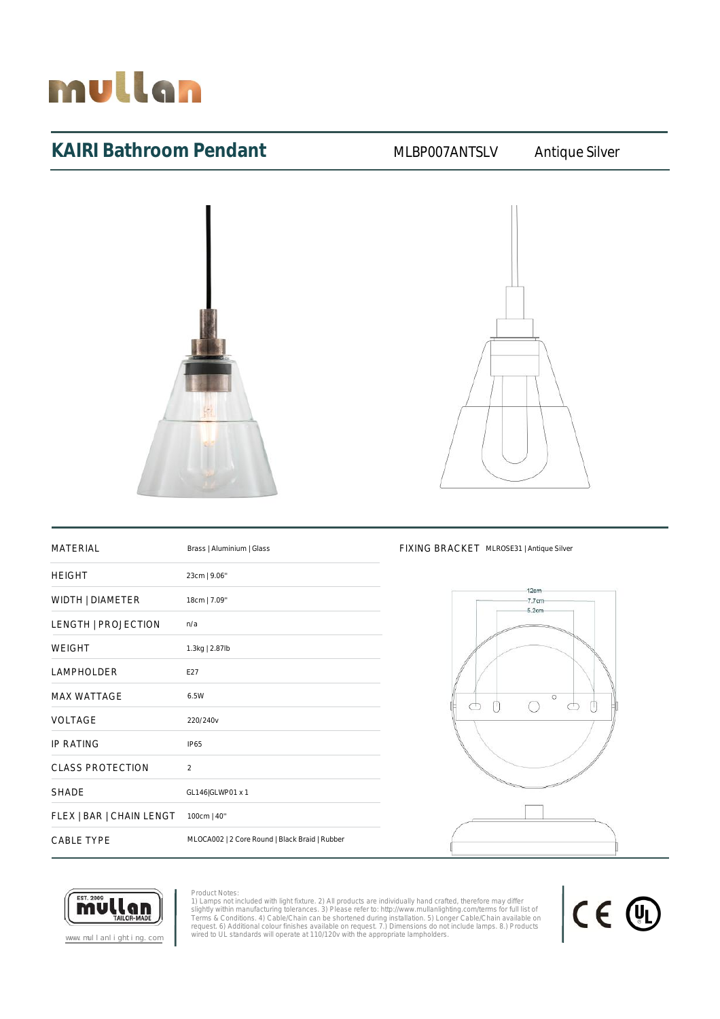

### KAIRI Bathroom Pendant MLBP007ANTSLV Antique Silver



| <b>MATERIAL</b>          | Brass   Aluminium   Glass                      |
|--------------------------|------------------------------------------------|
| <b>HEIGHT</b>            | 23cm   9.06"                                   |
| WIDTH   DIAMETER         | 18cm   7.09"                                   |
| LENGTH   PROJECTION      | n/a                                            |
| <b>WEIGHT</b>            | 1.3kg   2.87lb                                 |
| LAMPHOLDER               | F27                                            |
| <b>MAX WATTAGE</b>       | 6.5W                                           |
| VOLTAGE                  | 220/240v                                       |
| <b>IP RATING</b>         | IP65                                           |
| <b>CLASS PROTECTION</b>  | $\mathfrak{p}$                                 |
| <b>SHADE</b>             | GL146 GLWP01 x 1                               |
| FLEX   BAR   CHAIN LENGT | 100cm   40"                                    |
| <b>CABLE TYPE</b>        | MLOCA002   2 Core Round   Black Braid   Rubber |

### FIXING BRACKET MLROSE31 | Antique Silver





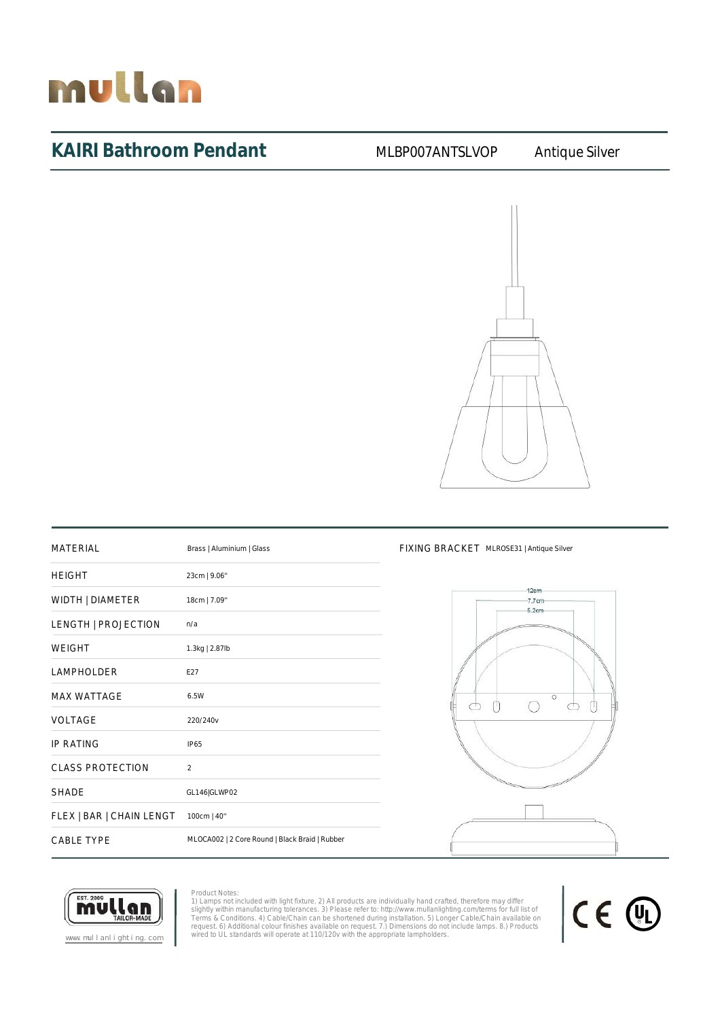

### KAIRI Bathroom Pendant MLBP007ANTSLVOP Antique Silver



| <b>MATERIAL</b>          | Brass   Aluminium   Glass                      |
|--------------------------|------------------------------------------------|
| <b>HEIGHT</b>            | 23cm   9.06"                                   |
| WIDTH   DIAMETER         | 18cm   7.09"                                   |
| LENGTH   PROJECTION      | n/a                                            |
| <b>WEIGHT</b>            | 1.3kg   2.87lb                                 |
| <b>LAMPHOLDER</b>        | E27                                            |
| <b>MAX WATTAGE</b>       | 6.5W                                           |
| VOLTAGE                  | 220/240v                                       |
| <b>IP RATING</b>         | <b>IP65</b>                                    |
| <b>CLASS PROTECTION</b>  | $\mathfrak{D}$                                 |
| <b>SHADE</b>             | GL146 GLWP02                                   |
| FLEX   BAR   CHAIN LENGT | 100cm   40"                                    |
| <b>CABLE TYPE</b>        | MLOCA002   2 Core Round   Black Braid   Rubber |

### FIXING BRACKET MLROSE31 | Antique Silver





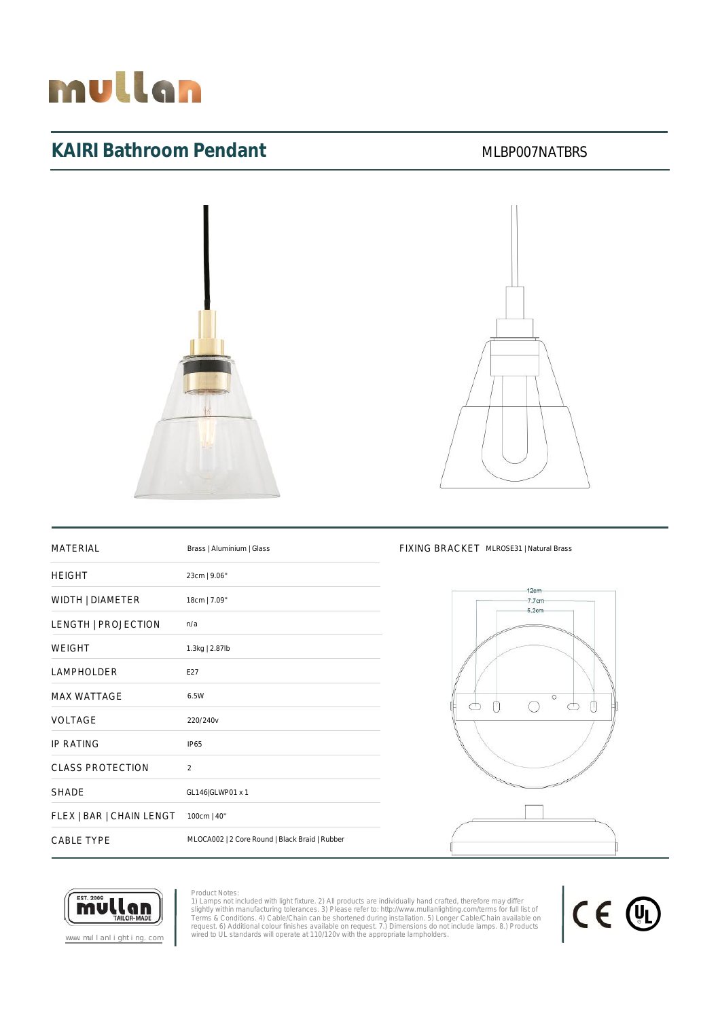

### KAIRI Bathroom Pendant MEXAIRI Bathroom Pendant



### MATERIAL Brass | Aluminium | Glass FIXING BRACKET MLROSE31 | Natural Brass

| 23cm   9.06"                                   |
|------------------------------------------------|
| 18cm   7.09"                                   |
| n/a                                            |
| 1.3kg   2.87lb                                 |
| E27                                            |
| 6.5W                                           |
| 220/240v                                       |
| <b>IP65</b>                                    |
| 2                                              |
| GL146 GLWP01 x 1                               |
| 100cm   40"                                    |
| MLOCA002   2 Core Round   Black Braid   Rubber |
|                                                |





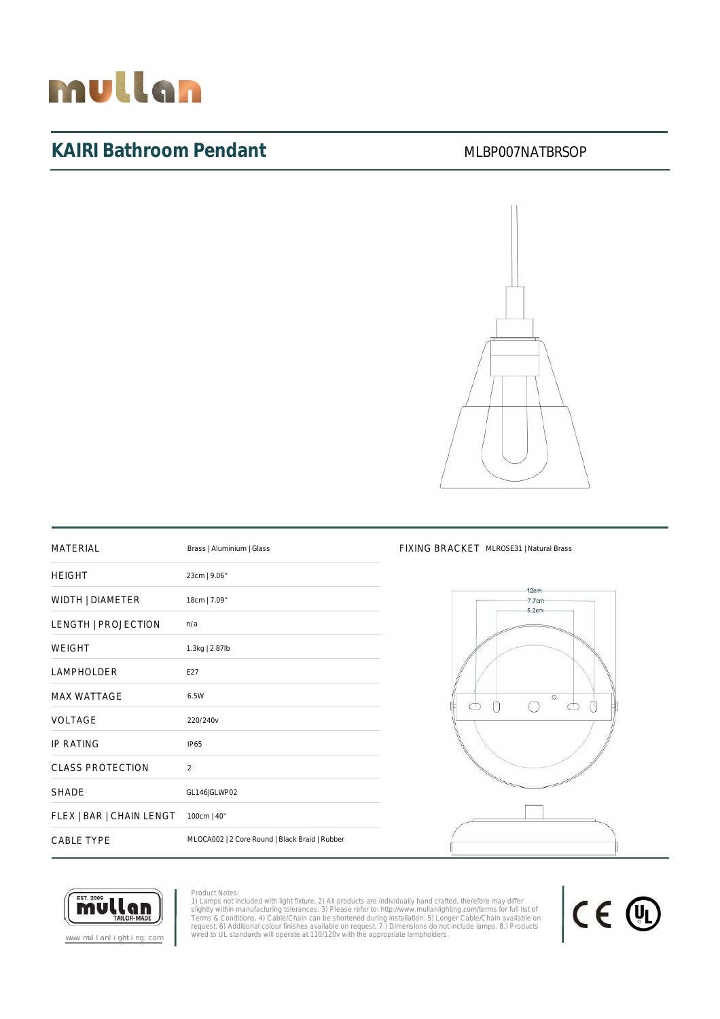# mullan

# KAIRI Bathroom Pendant MLBP007NATBRSOP



| <b>MATERIAL</b>          | Brass   Aluminium   Glass                      |
|--------------------------|------------------------------------------------|
| <b>HEIGHT</b>            | 23cm   9.06"                                   |
| WIDTH   DIAMETER         | 18cm   7.09"                                   |
| LENGTH   PROJECTION      | n/a                                            |
| <b>WEIGHT</b>            | 1.3kg   2.87lb                                 |
| LAMPHOLDER               | F27                                            |
| <b>MAX WATTAGE</b>       | 6.5W                                           |
| VOLTAGE                  | 220/240v                                       |
| <b>IP RATING</b>         | IP65                                           |
| <b>CLASS PROTECTION</b>  | $\mathfrak{D}$                                 |
| <b>SHADE</b>             | GL146 GLWP02                                   |
| FLEX   BAR   CHAIN LENGT | 100cm   40"                                    |
| CABLE TYPE               | MLOCA002   2 Core Round   Black Braid   Rubber |

#### FIXING BRACKET MLROSE31 | Natural Brass





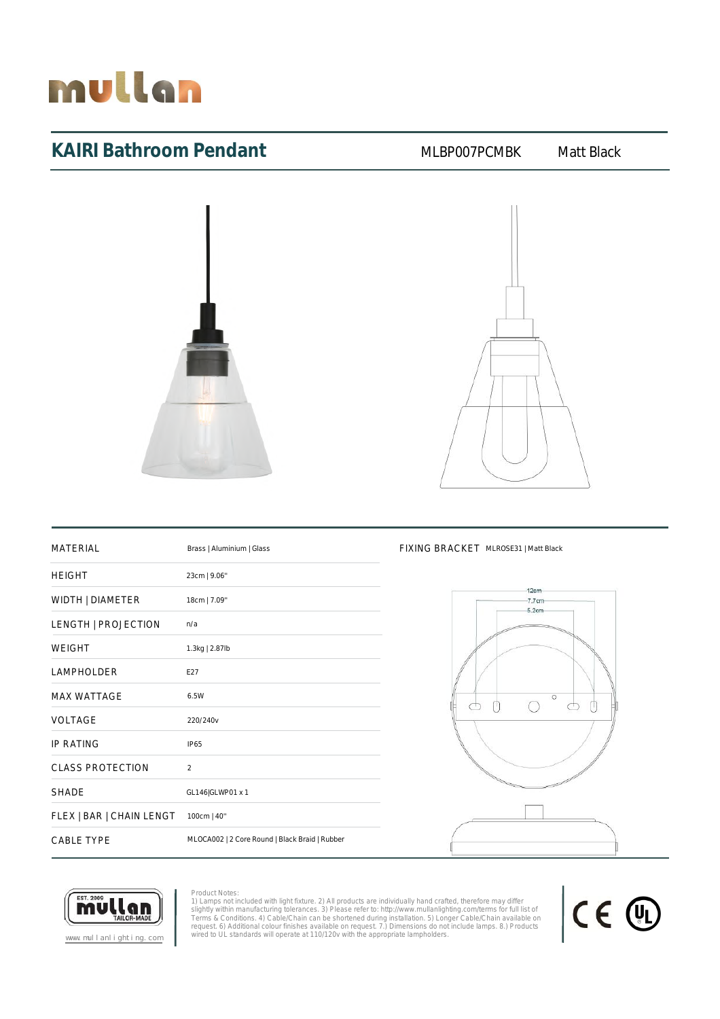

### KAIRI Bathroom Pendant MLBP007PCMBK Matt Black





| <b>MATERIAL</b>          | Brass   Aluminium   Glass                      |
|--------------------------|------------------------------------------------|
| <b>HEIGHT</b>            | 23cm   9.06"                                   |
| WIDTH   DIAMETER         | 18cm   7.09"                                   |
| LENGTH   PROJECTION      | n/a                                            |
| <b>WEIGHT</b>            | 1.3kg   2.87lb                                 |
| <b>LAMPHOLDER</b>        | E27                                            |
| <b>MAX WATTAGE</b>       | 6.5W                                           |
| VOLTAGE                  | 220/240v                                       |
| <b>IP RATING</b>         | <b>IP65</b>                                    |
| CLASS PROTECTION         | $\mathcal{P}$                                  |
| <b>SHADE</b>             | GL146 GLWP01 x 1                               |
| FLEX   BAR   CHAIN LENGT | 100cm   40"                                    |
| <b>CABLE TYPE</b>        | MLOCA002   2 Core Round   Black Braid   Rubber |

#### FIXING BRACKET MLROSE31 | Matt Black





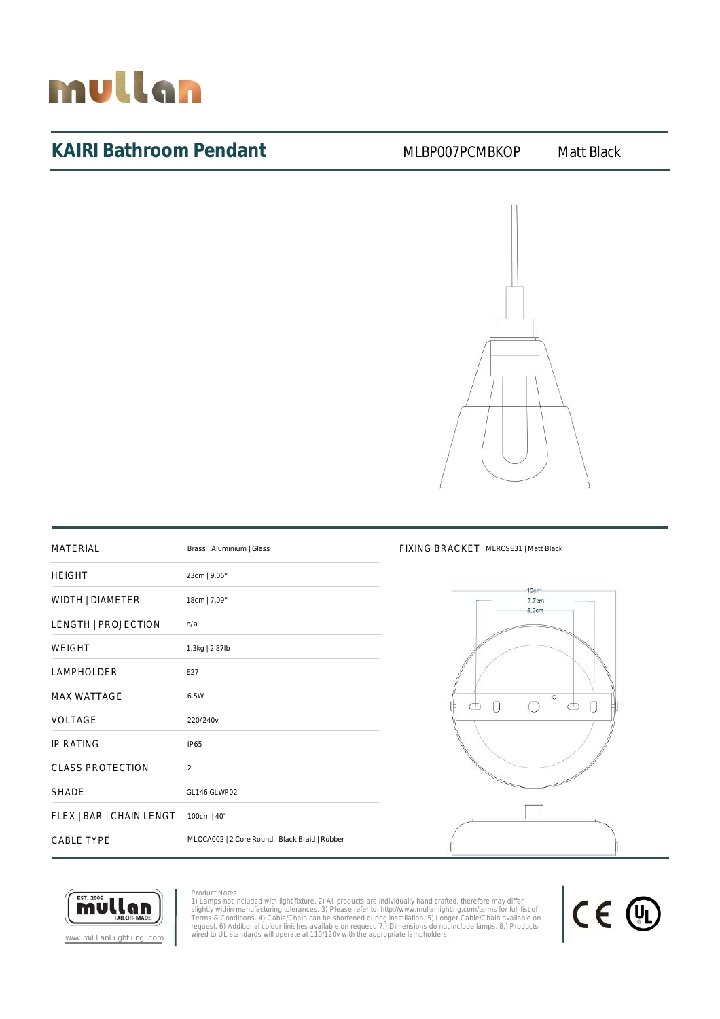

### KAIRI Bathroom Pendant MLBP007PCMBKOP Matt Black



| <b>MATERIAL</b>          | Brass   Aluminium   Glass                      |
|--------------------------|------------------------------------------------|
| <b>HEIGHT</b>            | 23cm   9.06"                                   |
| WIDTH   DIAMETER         | 18cm   7.09"                                   |
| LENGTH   PROJECTION      | n/a                                            |
| WEIGHT                   | 1.3kg   2.87lb                                 |
| LAMPHOLDER               | F27                                            |
| <b>MAX WATTAGE</b>       | 6.5W                                           |
| VOLTAGE                  | 220/240v                                       |
| <b>IP RATING</b>         | <b>IP65</b>                                    |
| <b>CLASS PROTECTION</b>  | $\overline{2}$                                 |
| <b>SHADE</b>             | GL146 GLWP02                                   |
| FLEX   BAR   CHAIN LENGT | 100cm   40"                                    |
| <b>CABLE TYPE</b>        | MLOCA002   2 Core Round   Black Braid   Rubber |

#### FIXING BRACKET MLROSE31 | Matt Black





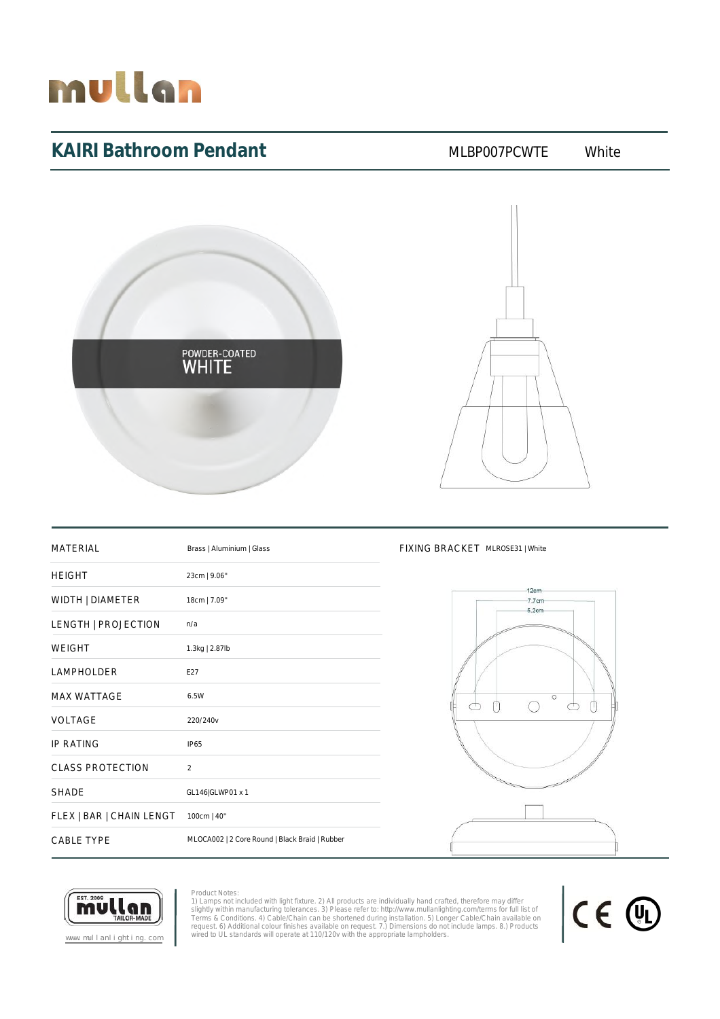

## KAIRI Bathroom Pendant MLBP007PCWTE White





| <b>MATERIAL</b>          | Brass   Aluminium   Glass                      |
|--------------------------|------------------------------------------------|
| <b>HEIGHT</b>            | 23cm   9.06"                                   |
| WIDTH   DIAMETER         | 18cm   7.09"                                   |
| LENGTH   PROJECTION      | n/a                                            |
| <b>WEIGHT</b>            | 1.3kg   2.87lb                                 |
| LAMPHOLDER               | E27                                            |
| <b>MAX WATTAGE</b>       | 6.5W                                           |
| <b>VOLTAGE</b>           | 220/240v                                       |
| <b>IP RATING</b>         | IP65                                           |
| <b>CLASS PROTECTION</b>  | $\overline{2}$                                 |
| <b>SHADE</b>             | GL146 GLWP01 x 1                               |
| FLEX   BAR   CHAIN LENGT | 100cm   40"                                    |
| <b>CABLE TYPE</b>        | MLOCA002   2 Core Round   Black Braid   Rubber |

#### FIXING BRACKET MLROSE31 | White





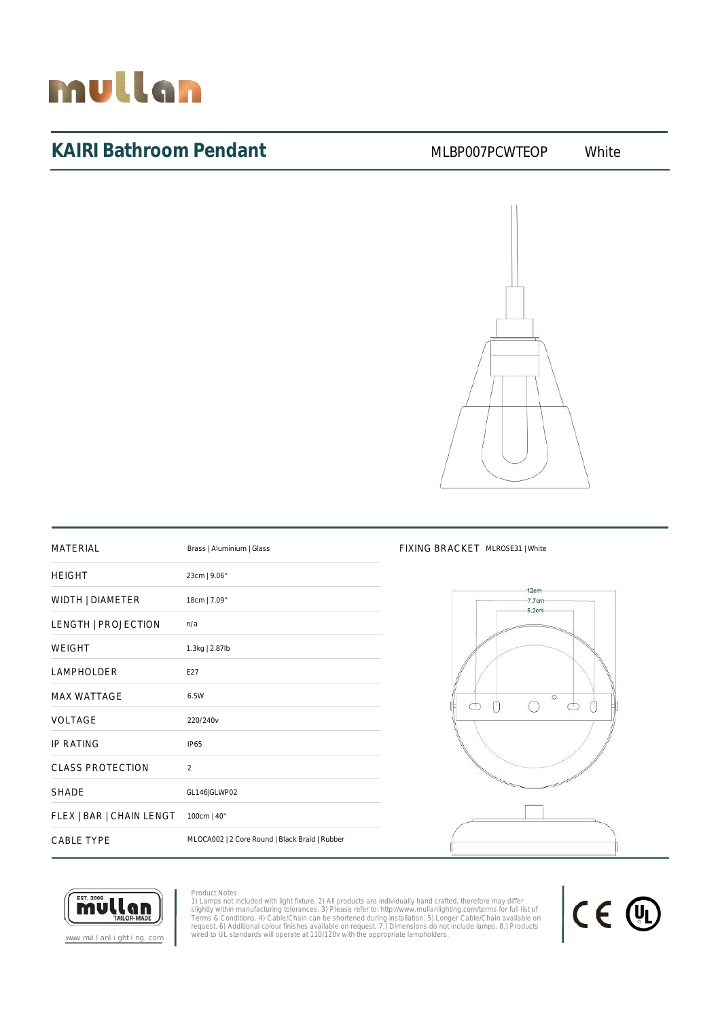# mullan

# KAIRI Bathroom Pendant MLBP007PCWTEOP White



| <b>MATERIAL</b>          | Brass   Aluminium   Glass                      |
|--------------------------|------------------------------------------------|
| <b>HEIGHT</b>            | 23cm   9.06"                                   |
| WIDTH   DIAMETER         | 18cm   7.09"                                   |
| LENGTH   PROJECTION      | n/a                                            |
| <b>WEIGHT</b>            | 1.3kg   2.87lb                                 |
| LAMPHOLDER               | F27                                            |
| <b>MAX WATTAGE</b>       | 6.5W                                           |
| VOLTAGE                  | 220/240v                                       |
| <b>IP RATING</b>         | <b>IP65</b>                                    |
| <b>CLASS PROTECTION</b>  | $\overline{2}$                                 |
| <b>SHADF</b>             | GL146 GLWP02                                   |
| FLEX   BAR   CHAIN LENGT | 100cm   40"                                    |
| <b>CABLE TYPE</b>        | MLOCA002   2 Core Round   Black Braid   Rubber |

### FIXING BRACKET MLROSE31 | White





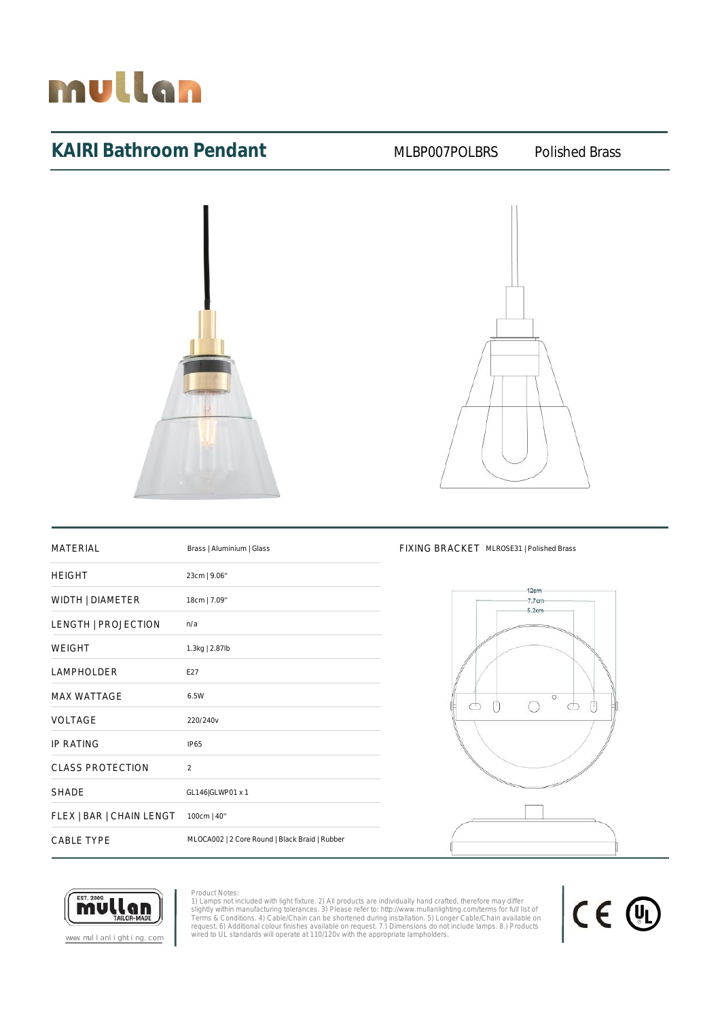

### KAIRI Bathroom Pendant MLBP007POLBRS Polished Brass





| <b>MATERIAL</b>          | Brass   Aluminium   Glass                      |
|--------------------------|------------------------------------------------|
| <b>HEIGHT</b>            | 23cm   9.06"                                   |
| WIDTH   DIAMETER         | 18cm   7.09"                                   |
| LENGTH   PROJECTION      | n/a                                            |
| <b>WEIGHT</b>            | 1.3kg   2.87lb                                 |
| <b>LAMPHOLDER</b>        | E27                                            |
| <b>MAX WATTAGE</b>       | 6.5W                                           |
| <b>VOLTAGE</b>           | 220/240v                                       |
| <b>IP RATING</b>         | <b>IP65</b>                                    |
| <b>CLASS PROTECTION</b>  | $\overline{2}$                                 |
| <b>SHADE</b>             | GL146 GLWP01 x 1                               |
| FLEX   BAR   CHAIN LENGT | 100cm   40"                                    |
| <b>CABLE TYPE</b>        | MLOCA002   2 Core Round   Black Braid   Rubber |

### FIXING BRACKET MLROSE31 | Polished Brass





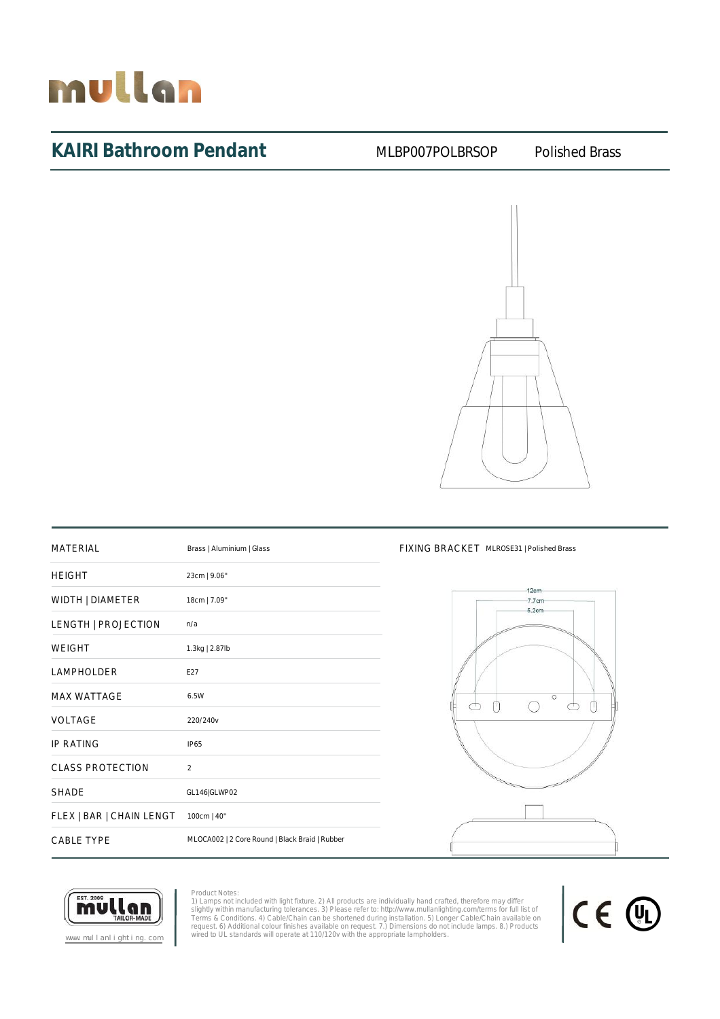

### KAIRI Bathroom Pendant MLBP007POLBRSOP Polished Brass



| <b>MATERIAL</b>          | Brass   Aluminium   Glass                      |
|--------------------------|------------------------------------------------|
| <b>HEIGHT</b>            | 23cm   9.06"                                   |
| WIDTH   DIAMETER         | 18cm   7.09"                                   |
| LENGTH   PROJECTION      | n/a                                            |
| <b>WEIGHT</b>            | 1.3kg   2.87lb                                 |
| <b>LAMPHOLDER</b>        | F27                                            |
| <b>MAX WATTAGE</b>       | 6.5W                                           |
| VOLTAGE                  | 220/240v                                       |
| <b>IP RATING</b>         | <b>IP65</b>                                    |
| <b>CLASS PROTECTION</b>  | 2                                              |
| <b>SHADE</b>             | GL146 GLWP02                                   |
| FLEX   BAR   CHAIN LENGT | 100cm   40"                                    |
| <b>CABLE TYPE</b>        | MLOCA002   2 Core Round   Black Braid   Rubber |

#### FIXING BRACKET MLROSE31 | Polished Brass



CE 4

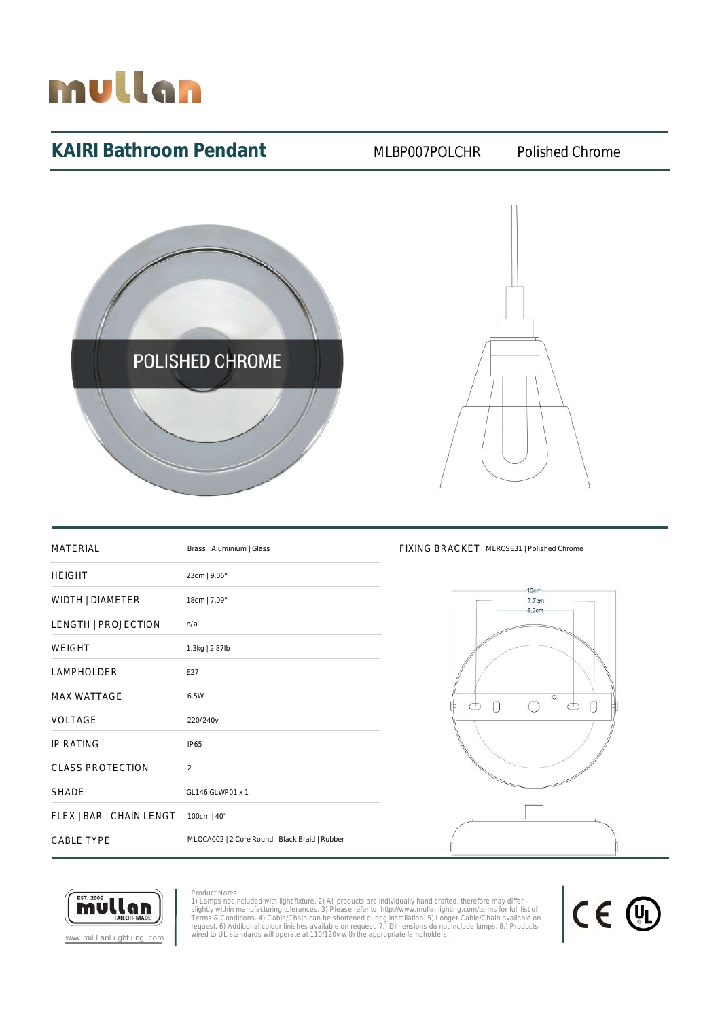

### KAIRI Bathroom Pendant MLBP007POLCHR Polished Chrome





| <b>MATERIAL</b>          | Brass   Aluminium   Glass                      |
|--------------------------|------------------------------------------------|
| <b>HEIGHT</b>            | 23cm   9.06"                                   |
| WIDTH   DIAMETER         | 18cm   7.09"                                   |
| LENGTH   PROJECTION      | n/a                                            |
| <b>WEIGHT</b>            | 1.3kg   2.87lb                                 |
| LAMPHOLDER               | F27                                            |
| <b>MAX WATTAGE</b>       | 6.5W                                           |
| VOLTAGE                  | 220/240v                                       |
| <b>IP RATING</b>         | <b>IP65</b>                                    |
| <b>CLASS PROTECTION</b>  | $\overline{2}$                                 |
| <b>SHADE</b>             | GL146 GLWP01 x 1                               |
| FLEX   BAR   CHAIN LENGT | 100cm   40"                                    |
| <b>CABLE TYPE</b>        | MLOCA002   2 Core Round   Black Braid   Rubber |

#### FIXING BRACKET MLROSE31 | Polished Chrome





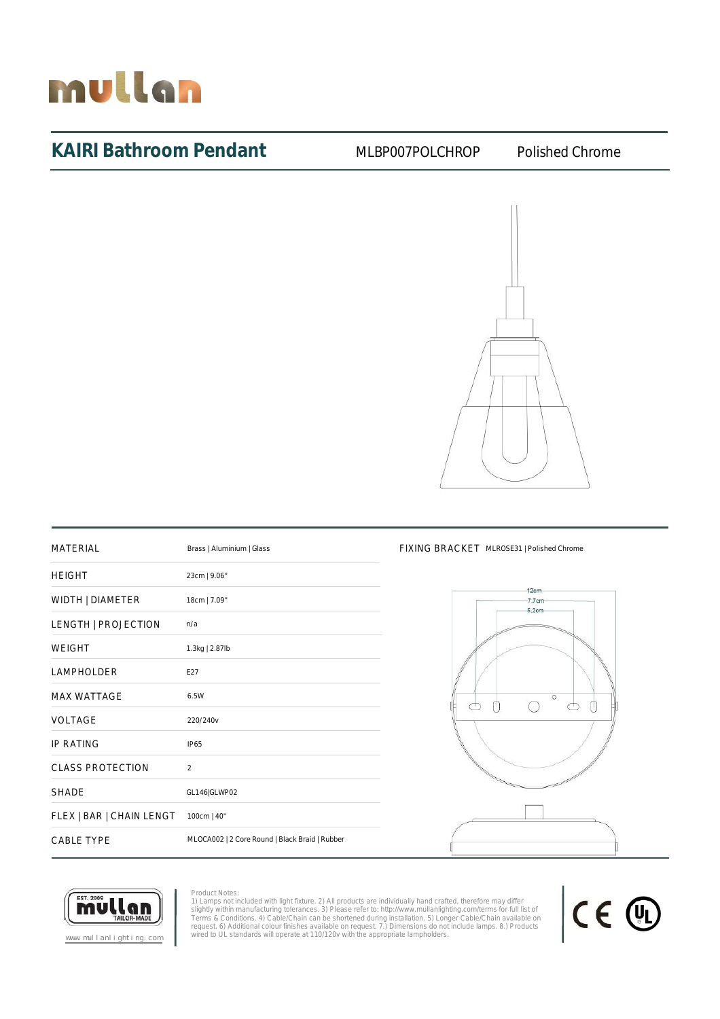

### KAIRI Bathroom Pendant MLBP007POLCHROP Polished Chrome



| <b>MATFRIAL</b>          | Brass   Aluminium   Glass                      |
|--------------------------|------------------------------------------------|
| <b>HEIGHT</b>            | 23cm   9.06"                                   |
| WIDTH   DIAMETER         | 18cm   7.09"                                   |
| LENGTH   PROJECTION      | n/a                                            |
| <b>WEIGHT</b>            | 1.3kg   2.87lb                                 |
| LAMPHOLDER               | E27                                            |
| <b>MAX WATTAGE</b>       | 6.5W                                           |
| VOLTAGE                  | 220/240v                                       |
| <b>IP RATING</b>         | <b>IP65</b>                                    |
| <b>CLASS PROTECTION</b>  | $\mathfrak{D}$                                 |
| <b>SHADE</b>             | GL146 GLWP02                                   |
| FLEX   BAR   CHAIN LENGT | 100cm   40"                                    |
| <b>CABLE TYPE</b>        | MLOCA002   2 Core Round   Black Braid   Rubber |

#### FIXING BRACKET MLROSE31 | Polished Chrome





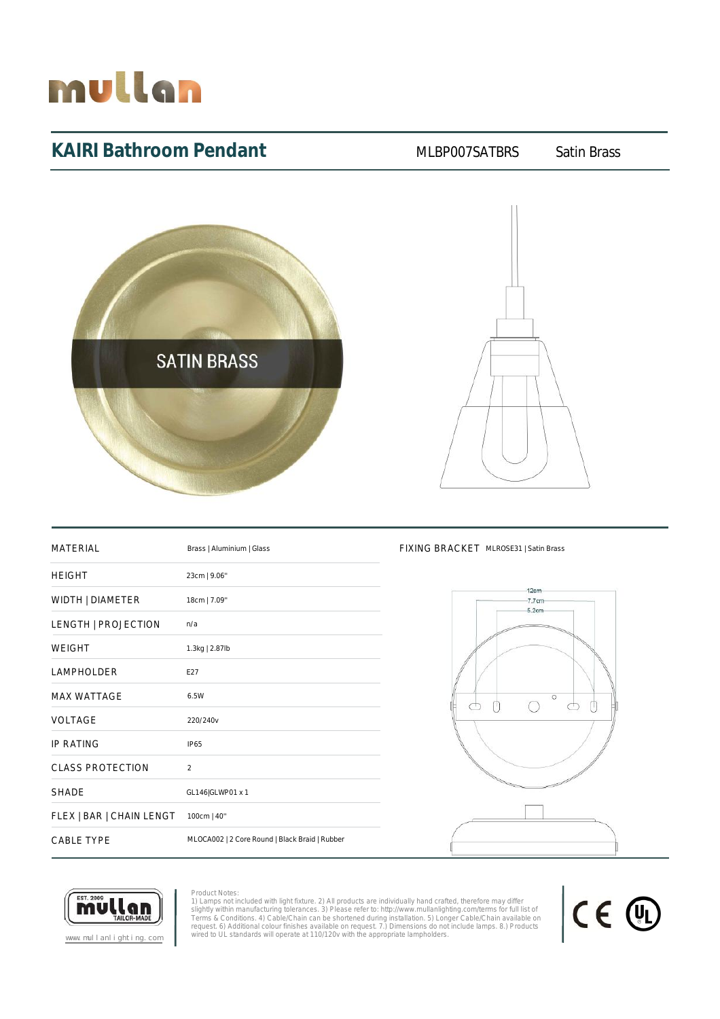

## KAIRI Bathroom Pendant MLBP007SATBRS Satin Brass





| MATFRIAI                 | Brass   Aluminium   Glass                      |
|--------------------------|------------------------------------------------|
| <b>HEIGHT</b>            | 23cm   9.06"                                   |
| WIDTH   DIAMETER         | 18cm   7.09"                                   |
| LENGTH   PROJECTION      | n/a                                            |
| <b>WEIGHT</b>            | 1.3kg   2.87lb                                 |
| LAMPHOLDER               | F27                                            |
| <b>MAX WATTAGE</b>       | 6.5W                                           |
| VOLTAGE                  | 220/240v                                       |
| <b>IP RATING</b>         | IP65                                           |
| <b>CLASS PROTECTION</b>  | $\overline{2}$                                 |
| <b>SHADE</b>             | GL146 GLWP01 x 1                               |
| FLEX   BAR   CHAIN LENGT | 100cm   40"                                    |
| <b>CABLE TYPE</b>        | MLOCA002   2 Core Round   Black Braid   Rubber |

### FIXING BRACKET MLROSE31 | Satin Brass